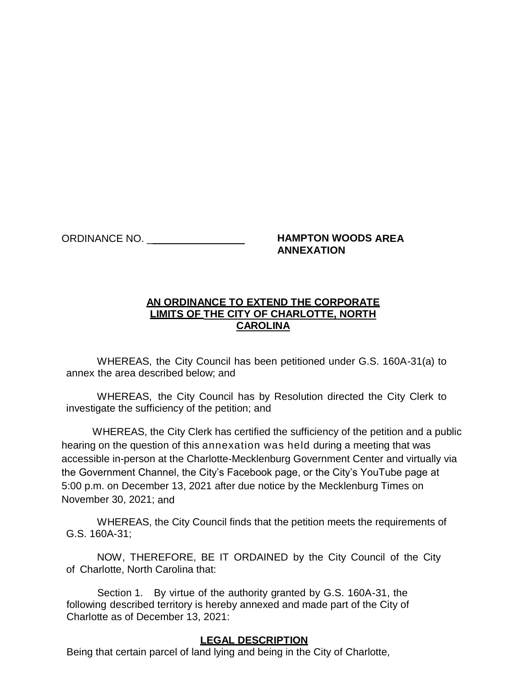## ORDINANCE NO. \_\_\_\_\_\_\_\_\_\_\_\_\_\_\_\_\_ **HAMPTON WOODS AREA ANNEXATION**

## **AN ORDINANCE TO EXTEND THE CORPORATE LIMITS OF THE CITY OF CHARLOTTE, NORTH CAROLINA**

WHEREAS, the City Council has been petitioned under G.S. 160A-31(a) to annex the area described below; and

WHEREAS, the City Council has by Resolution directed the City Clerk to investigate the sufficiency of the petition; and

WHEREAS, the City Clerk has certified the sufficiency of the petition and a public hearing on the question of this annexation was held during a meeting that was accessible in-person at the Charlotte-Mecklenburg Government Center and virtually via the Government Channel, the City's Facebook page, or the City's YouTube page at 5:00 p.m. on December 13, 2021 after due notice by the Mecklenburg Times on November 30, 2021; and

WHEREAS, the City Council finds that the petition meets the requirements of G.S. 160A-31;

NOW, THEREFORE, BE IT ORDAINED by the City Council of the City of Charlotte, North Carolina that:

Section 1. By virtue of the authority granted by G.S. 160A-31, the following described territory is hereby annexed and made part of the City of Charlotte as of December 13, 2021:

## **LEGAL DESCRIPTION**

Being that certain parcel of land lying and being in the City of Charlotte,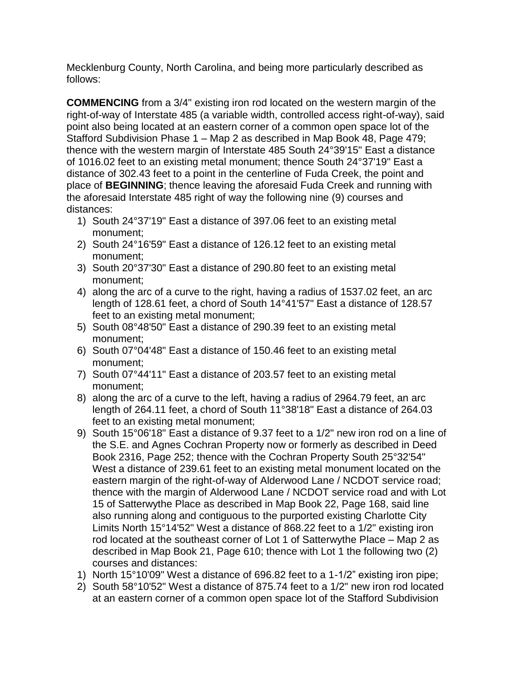Mecklenburg County, North Carolina, and being more particularly described as follows:

**COMMENCING** from a 3/4" existing iron rod located on the western margin of the right-of-way of Interstate 485 (a variable width, controlled access right-of-way), said point also being located at an eastern corner of a common open space lot of the Stafford Subdivision Phase 1 – Map 2 as described in Map Book 48, Page 479; thence with the western margin of Interstate 485 South 24°39'15" East a distance of 1016.02 feet to an existing metal monument; thence South 24°37'19" East a distance of 302.43 feet to a point in the centerline of Fuda Creek, the point and place of **BEGINNING**; thence leaving the aforesaid Fuda Creek and running with the aforesaid Interstate 485 right of way the following nine (9) courses and distances:

- 1) South 24°37'19" East a distance of 397.06 feet to an existing metal monument;
- 2) South 24°16'59" East a distance of 126.12 feet to an existing metal monument;
- 3) South 20°37'30" East a distance of 290.80 feet to an existing metal monument;
- 4) along the arc of a curve to the right, having a radius of 1537.02 feet, an arc length of 128.61 feet, a chord of South 14°41'57" East a distance of 128.57 feet to an existing metal monument;
- 5) South 08°48'50" East a distance of 290.39 feet to an existing metal monument;
- 6) South 07°04'48" East a distance of 150.46 feet to an existing metal monument;
- 7) South 07°44'11" East a distance of 203.57 feet to an existing metal monument;
- 8) along the arc of a curve to the left, having a radius of 2964.79 feet, an arc length of 264.11 feet, a chord of South 11°38'18" East a distance of 264.03 feet to an existing metal monument;
- 9) South 15°06'18" East a distance of 9.37 feet to a 1/2" new iron rod on a line of the S.E. and Agnes Cochran Property now or formerly as described in Deed Book 2316, Page 252; thence with the Cochran Property South 25°32'54" West a distance of 239.61 feet to an existing metal monument located on the eastern margin of the right-of-way of Alderwood Lane / NCDOT service road; thence with the margin of Alderwood Lane / NCDOT service road and with Lot 15 of Satterwythe Place as described in Map Book 22, Page 168, said line also running along and contiguous to the purported existing Charlotte City Limits North 15°14'52" West a distance of 868.22 feet to a 1/2" existing iron rod located at the southeast corner of Lot 1 of Satterwythe Place – Map 2 as described in Map Book 21, Page 610; thence with Lot 1 the following two (2) courses and distances:
- 1) North 15°10'09" West a distance of 696.82 feet to a 1-1/2" existing iron pipe;
- 2) South 58°10'52" West a distance of 875.74 feet to a 1/2" new iron rod located at an eastern corner of a common open space lot of the Stafford Subdivision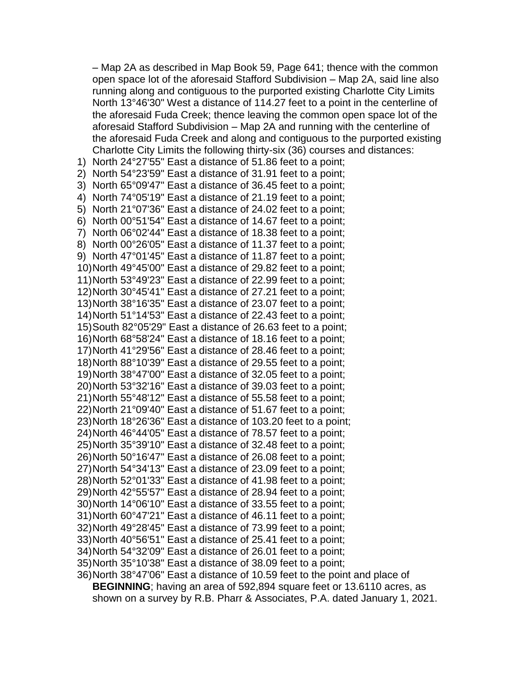– Map 2A as described in Map Book 59, Page 641; thence with the common open space lot of the aforesaid Stafford Subdivision – Map 2A, said line also running along and contiguous to the purported existing Charlotte City Limits North 13°46'30" West a distance of 114.27 feet to a point in the centerline of the aforesaid Fuda Creek; thence leaving the common open space lot of the aforesaid Stafford Subdivision – Map 2A and running with the centerline of the aforesaid Fuda Creek and along and contiguous to the purported existing Charlotte City Limits the following thirty-six (36) courses and distances:

1) North 24°27'55" East a distance of 51.86 feet to a point; 2) North 54°23'59" East a distance of 31.91 feet to a point; 3) North 65°09'47" East a distance of 36.45 feet to a point; 4) North 74°05'19" East a distance of 21.19 feet to a point; 5) North 21°07'36" East a distance of 24.02 feet to a point;

6) North 00°51'54" East a distance of 14.67 feet to a point; 7) North 06°02'44" East a distance of 18.38 feet to a point; 8) North 00°26'05" East a distance of 11.37 feet to a point; 9) North 47°01'45" East a distance of 11.87 feet to a point; 10)North 49°45'00" East a distance of 29.82 feet to a point; 11)North 53°49'23" East a distance of 22.99 feet to a point; 12)North 30°45'41" East a distance of 27.21 feet to a point; 13)North 38°16'35" East a distance of 23.07 feet to a point; 14)North 51°14'53" East a distance of 22.43 feet to a point; 15)South 82°05'29" East a distance of 26.63 feet to a point;

```
16)North 68°58'24" East a distance of 18.16 feet to a point;
17)North 41°29'56" East a distance of 28.46 feet to a point;
```

```
18)North 88°10'39" East a distance of 29.55 feet to a point;
19)North 38°47'00" East a distance of 32.05 feet to a point;
```

```
20)North 53°32'16" East a distance of 39.03 feet to a point;
```

```
21)North 55°48'12" East a distance of 55.58 feet to a point;
22)North 21°09'40" East a distance of 51.67 feet to a point;
```

```
23)North 18°26'36" East a distance of 103.20 feet to a point;
24)North 46°44'05" East a distance of 78.57 feet to a point;
```

```
25)North 35°39'10" East a distance of 32.48 feet to a point;
26)North 50°16'47" East a distance of 26.08 feet to a point;
```

```
27)North 54°34'13" East a distance of 23.09 feet to a point;
```

```
28)North 52°01'33" East a distance of 41.98 feet to a point;
```

```
29)North 42°55'57" East a distance of 28.94 feet to a point;
30)North 14°06'10" East a distance of 33.55 feet to a point;
```

```
31)North 60°47'21" East a distance of 46.11 feet to a point;
```

```
32)North 49°28'45" East a distance of 73.99 feet to a point;
```

```
33)North 40°56'51" East a distance of 25.41 feet to a point;
```

```
34)North 54°32'09" East a distance of 26.01 feet to a point;
```

```
35)North 35°10'38" East a distance of 38.09 feet to a point;
```
36)North 38°47'06" East a distance of 10.59 feet to the point and place of **BEGINNING**; having an area of 592,894 square feet or 13.6110 acres, as shown on a survey by R.B. Pharr & Associates, P.A. dated January 1, 2021.